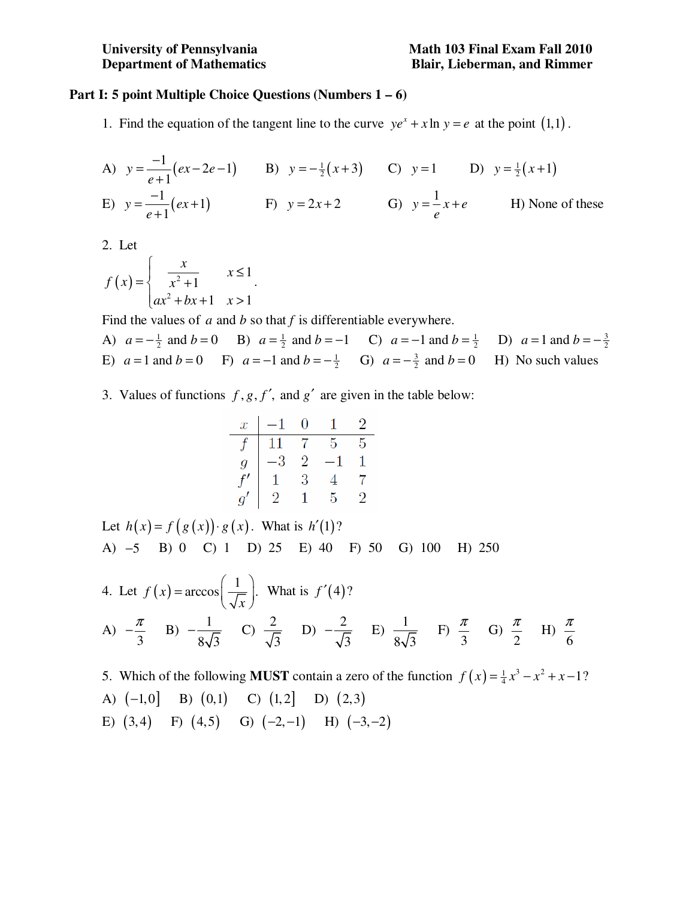## **Part I: 5 point Multiple Choice Questions (Numbers 1 – 6)**

1. Find the equation of the tangent line to the curve  $ye^{x} + x \ln y = e$  at the point (1,1).

A) 
$$
y = \frac{-1}{e+1}(ex-2e-1)
$$
 B)  $y = -\frac{1}{2}(x+3)$  C)  $y = 1$  D)  $y = \frac{1}{2}(x+1)$   
\nE)  $y = \frac{-1}{e+1}(ex+1)$  F)  $y = 2x+2$  G)  $y = \frac{1}{e}x+e$  H) None of these

2. Let

$$
f(x) = \begin{cases} \frac{x}{x^2 + 1} & x \le 1 \\ ax^2 + bx + 1 & x > 1 \end{cases}.
$$

Find the values of  $a$  and  $b$  so that  $f$  is differentiable everywhere.

A)  $a = -\frac{1}{2}$  and  $b = 0$  B)  $a = \frac{1}{2}$  and  $b = -1$  C)  $a = -1$  and  $b = \frac{1}{2}$  D)  $a = 1$  and  $b = -\frac{3}{2}$ E)  $a = 1$  and  $b = 0$  F)  $a = -1$  and  $b = -\frac{1}{2}$  G)  $a = -\frac{3}{2}$  and  $b = 0$  H) No such values

3. Values of functions  $f, g, f'$ , and  $g'$  are given in the table below:

| $x$  | -1 | 0 | 1  | 2 |
|------|----|---|----|---|
| $f$  | 11 | 7 | 5  | 5 |
| $g$  | -3 | 2 | -1 | 1 |
| $f'$ | 1  | 3 | 4  | 7 |
| $g'$ | 2  | 1 | 5  | 2 |

Let  $h(x) = f(g(x)) \cdot g(x)$ . What is  $h'(1)$ ? A) −5 B) 0 C) 1 D) 25 E) 40 F) 50 G) 100 H) 250

4. Let 
$$
f(x) = \arccos\left(\frac{1}{\sqrt{x}}\right)
$$
. What is  $f'(4)$ ?  
\n(A)  $-\frac{\pi}{3}$  (B)  $-\frac{1}{8\sqrt{3}}$  (C)  $\frac{2}{\sqrt{3}}$  (D)  $-\frac{2}{\sqrt{3}}$  (E)  $\frac{1}{8\sqrt{3}}$  (E)  $\frac{\pi}{3}$  (G)  $\frac{\pi}{2}$  (H)  $\frac{\pi}{6}$ 

5. Which of the following **MUST** contain a zero of the function  $f(x) = \frac{1}{4}x^3 - x^2 + x - 1$ ? A)  $(-1,0]$  B)  $(0,1)$  C)  $(1,2]$  D)  $(2,3)$ E)  $(3, 4)$  F)  $(4, 5)$  G)  $(-2, -1)$  H)  $(-3, -2)$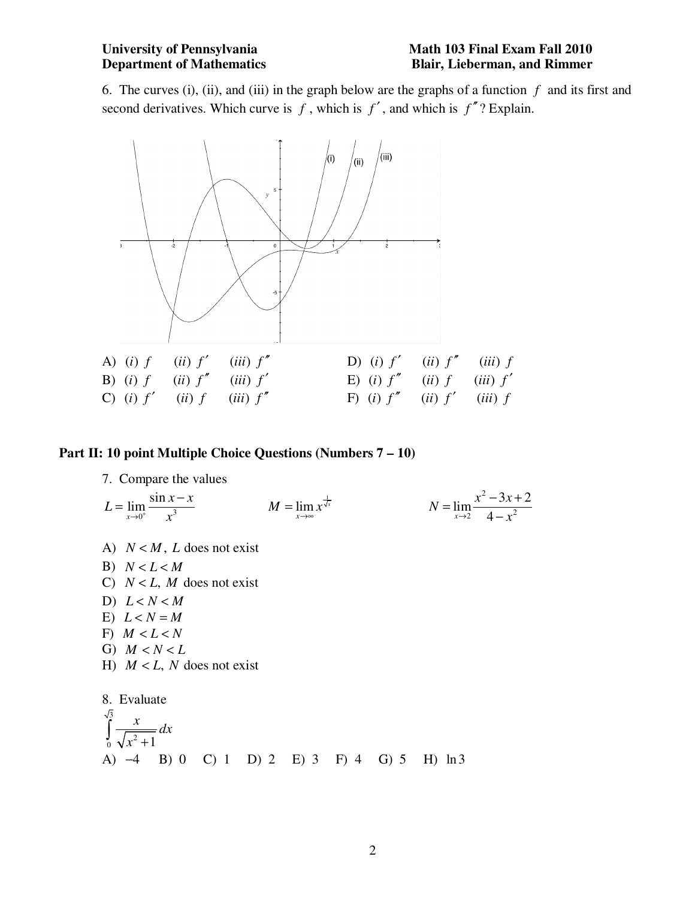6. The curves (i), (ii), and (iii) in the graph below are the graphs of a function  $f$  and its first and second derivatives. Which curve is  $f$ , which is  $f'$ , and which is  $f''$ ? Explain.



## **Part II: 10 point Multiple Choice Questions (Numbers 7 – 10)**

7. Compare the values

$$
L = \lim_{x \to 0^{+}} \frac{\sin x - x}{x^{3}}
$$
  
\n
$$
M = \lim_{x \to \infty} x^{\frac{1}{\sqrt{x}}}
$$
  
\n
$$
N = \lim_{x \to 2} \frac{x^{2} - 3x + 2}{4 - x^{2}}
$$
  
\nA)  $N < M$ , *L* does not exist  
\nB)  $N < L < M$   
\nC)  $N < L$ , *M* does not exist  
\nD)  $L < N < M$   
\nE)  $L < N = M$ 

- F)  $M < L < N$
- G)  $M < N < L$
- H)  $M < L$ , N does not exist

8. Evaluate  
\n
$$
\int_{0}^{\sqrt{3}} \frac{x}{\sqrt{x^{2} + 1}} dx
$$
\n(A) -4 B) 0 C) 1 D) 2 E) 3 F) 4 G) 5 H) ln 3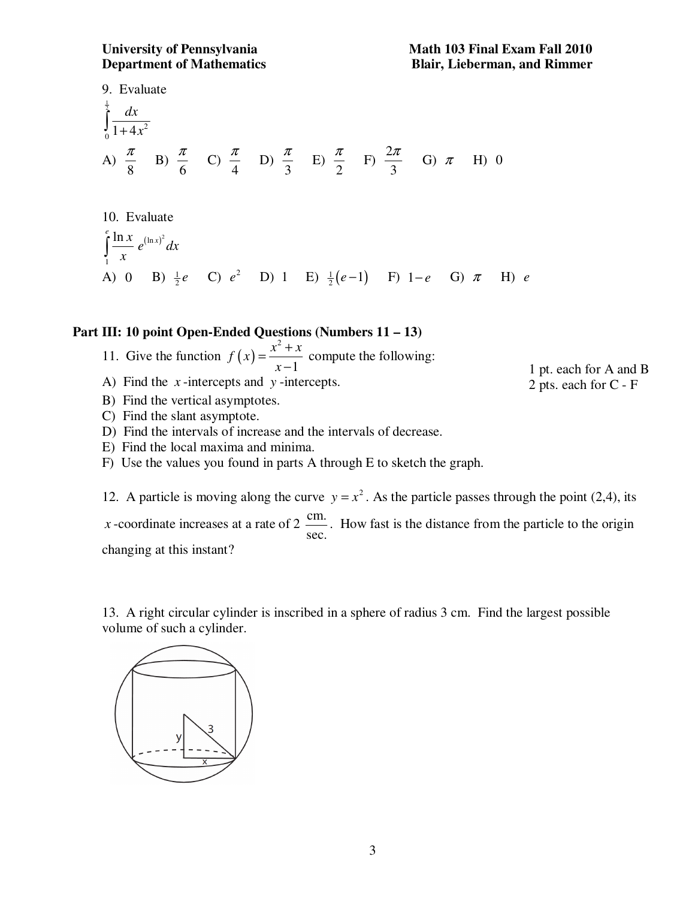9. Evaluate  $\frac{1}{2}$ 2  $\frac{1}{0}$  1 + 4 *dx*  $\int_{0}^{1} \frac{dx}{1+4x}$ A) 8  $\frac{\pi}{2}$  B) 6  $\frac{\pi}{\epsilon}$  C) 4  $\frac{\pi}{4}$  D) 3  $\frac{\pi}{2}$  E) 2  $\frac{\pi}{2}$  F)  $\frac{2}{7}$ 3  $\frac{\pi}{2}$  G)  $\pi$  H) 0

10. Evaluate  
\n
$$
\int_{1}^{e} \frac{\ln x}{x} e^{(\ln x)^{2}} dx
$$
\n(A) 0 B)  $\frac{1}{2}e$  C)  $e^{2}$  D) 1 E)  $\frac{1}{2}(e-1)$  F) 1-e G)  $\pi$  H) e

## **Part III: 10 point Open-Ended Questions (Numbers 11 – 13)**

- 11. Give the function  $f(x) = \frac{x^2}{x}$ 1  $f(x) = \frac{x^2 + x}{4}$ *x*  $=\frac{x^2+1}{x^2+1}$ − compute the following:
- A) Find the *x* -intercepts and *y* -intercepts.

1 pt. each for A and B 2 pts. each for C - F

- B) Find the vertical asymptotes.
- C) Find the slant asymptote.
- D) Find the intervals of increase and the intervals of decrease.
- E) Find the local maxima and minima.
- F) Use the values you found in parts A through E to sketch the graph.

12. A particle is moving along the curve  $y = x^2$ . As the particle passes through the point (2,4), its *x* -coordinate increases at a rate of 2  $\frac{\text{cm}}{\text{m}}$ . sec. . How fast is the distance from the particle to the origin changing at this instant?

13. A right circular cylinder is inscribed in a sphere of radius 3 cm. Find the largest possible volume of such a cylinder.